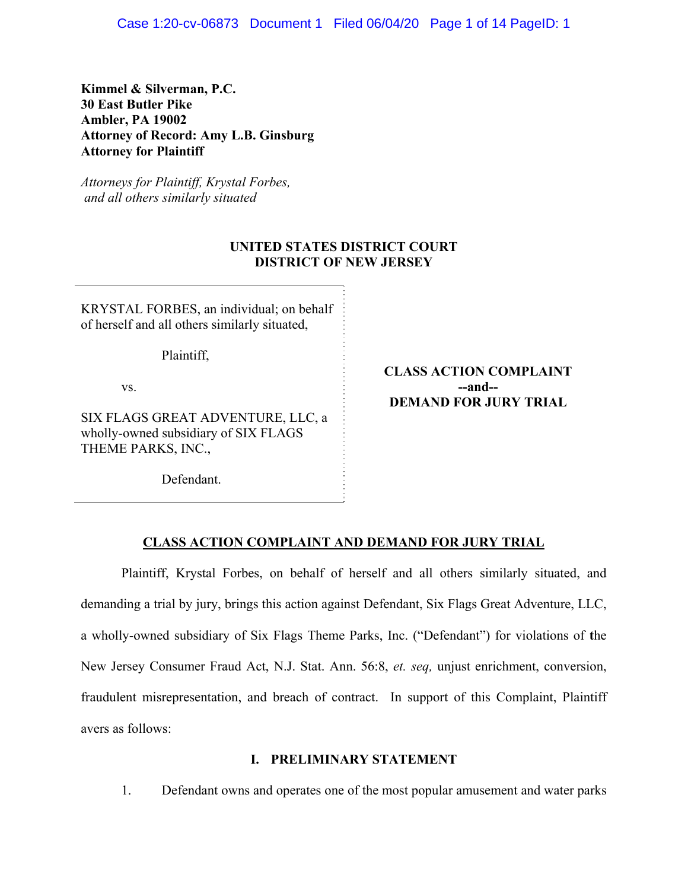Case 1:20-cv-06873 Document 1 Filed 06/04/20 Page 1 of 14 PageID: 1

**Kimmel & Silverman, P.C. 30 East Butler Pike Ambler, PA 19002 Attorney of Record: Amy L.B. Ginsburg Attorney for Plaintiff** 

*Attorneys for Plaintiff, Krystal Forbes, and all others similarly situated*

## **UNITED STATES DISTRICT COURT DISTRICT OF NEW JERSEY**

KRYSTAL FORBES, an individual; on behalf of herself and all others similarly situated,

Plaintiff,

vs.

SIX FLAGS GREAT ADVENTURE, LLC, a wholly-owned subsidiary of SIX FLAGS THEME PARKS, INC.,

Defendant.

**CLASS ACTION COMPLAINT --and-- DEMAND FOR JURY TRIAL**

#### **CLASS ACTION COMPLAINT AND DEMAND FOR JURY TRIAL**

 Plaintiff, Krystal Forbes, on behalf of herself and all others similarly situated, and demanding a trial by jury, brings this action against Defendant, Six Flags Great Adventure, LLC, a wholly-owned subsidiary of Six Flags Theme Parks, Inc. ("Defendant") for violations of **t**he New Jersey Consumer Fraud Act, N.J. Stat. Ann. 56:8, *et. seq,* unjust enrichment, conversion, fraudulent misrepresentation, and breach of contract. In support of this Complaint, Plaintiff avers as follows:

#### **I. PRELIMINARY STATEMENT**

1. Defendant owns and operates one of the most popular amusement and water parks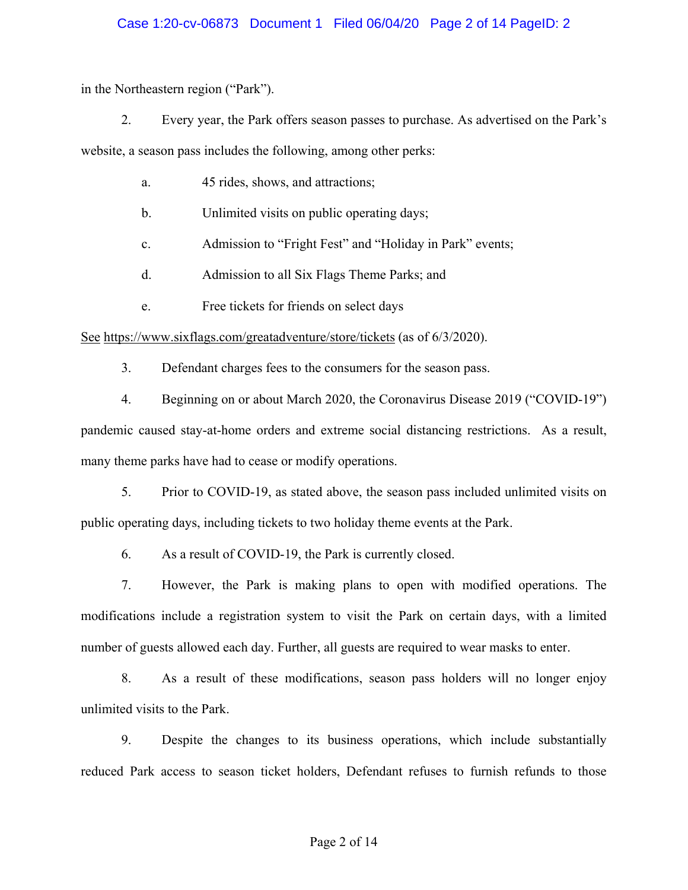## Case 1:20-cv-06873 Document 1 Filed 06/04/20 Page 2 of 14 PageID: 2

in the Northeastern region ("Park").

2. Every year, the Park offers season passes to purchase. As advertised on the Park's

website, a season pass includes the following, among other perks:

- a. 45 rides, shows, and attractions;
- b. Unlimited visits on public operating days;
- c. Admission to "Fright Fest" and "Holiday in Park" events;
- d. Admission to all Six Flags Theme Parks; and
- e. Free tickets for friends on select days

See https://www.sixflags.com/greatadventure/store/tickets (as of 6/3/2020).

3. Defendant charges fees to the consumers for the season pass.

4. Beginning on or about March 2020, the Coronavirus Disease 2019 ("COVID-19")

pandemic caused stay-at-home orders and extreme social distancing restrictions. As a result, many theme parks have had to cease or modify operations.

5. Prior to COVID-19, as stated above, the season pass included unlimited visits on public operating days, including tickets to two holiday theme events at the Park.

6. As a result of COVID-19, the Park is currently closed.

7. However, the Park is making plans to open with modified operations. The modifications include a registration system to visit the Park on certain days, with a limited number of guests allowed each day. Further, all guests are required to wear masks to enter.

8. As a result of these modifications, season pass holders will no longer enjoy unlimited visits to the Park.

9. Despite the changes to its business operations, which include substantially reduced Park access to season ticket holders, Defendant refuses to furnish refunds to those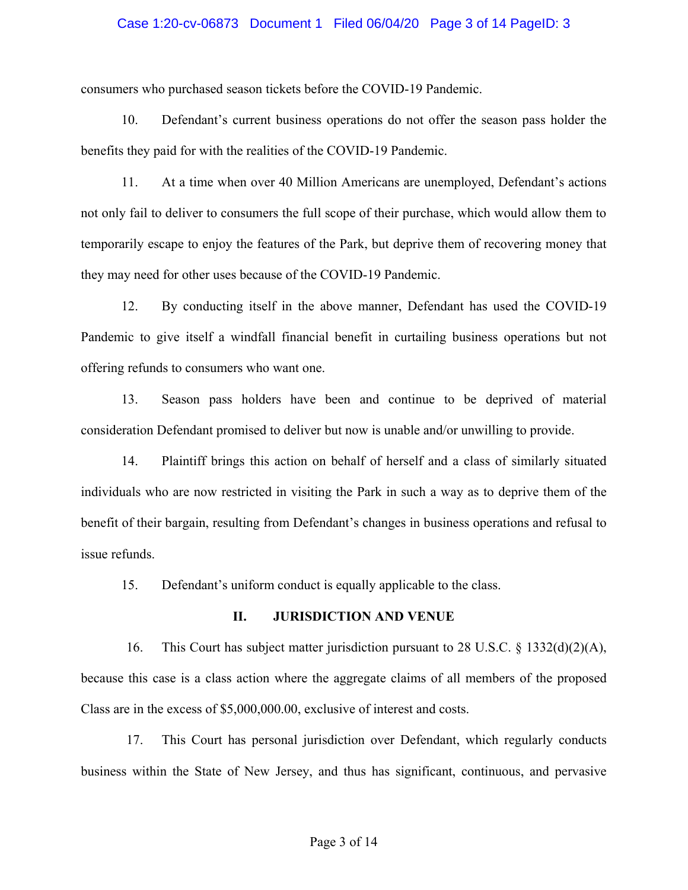#### Case 1:20-cv-06873 Document 1 Filed 06/04/20 Page 3 of 14 PageID: 3

consumers who purchased season tickets before the COVID-19 Pandemic.

10. Defendant's current business operations do not offer the season pass holder the benefits they paid for with the realities of the COVID-19 Pandemic.

11. At a time when over 40 Million Americans are unemployed, Defendant's actions not only fail to deliver to consumers the full scope of their purchase, which would allow them to temporarily escape to enjoy the features of the Park, but deprive them of recovering money that they may need for other uses because of the COVID-19 Pandemic.

12. By conducting itself in the above manner, Defendant has used the COVID-19 Pandemic to give itself a windfall financial benefit in curtailing business operations but not offering refunds to consumers who want one.

13. Season pass holders have been and continue to be deprived of material consideration Defendant promised to deliver but now is unable and/or unwilling to provide.

14. Plaintiff brings this action on behalf of herself and a class of similarly situated individuals who are now restricted in visiting the Park in such a way as to deprive them of the benefit of their bargain, resulting from Defendant's changes in business operations and refusal to issue refunds.

15. Defendant's uniform conduct is equally applicable to the class.

#### **II. JURISDICTION AND VENUE**

16. This Court has subject matter jurisdiction pursuant to 28 U.S.C. § 1332(d)(2)(A), because this case is a class action where the aggregate claims of all members of the proposed Class are in the excess of \$5,000,000.00, exclusive of interest and costs.

17. This Court has personal jurisdiction over Defendant, which regularly conducts business within the State of New Jersey, and thus has significant, continuous, and pervasive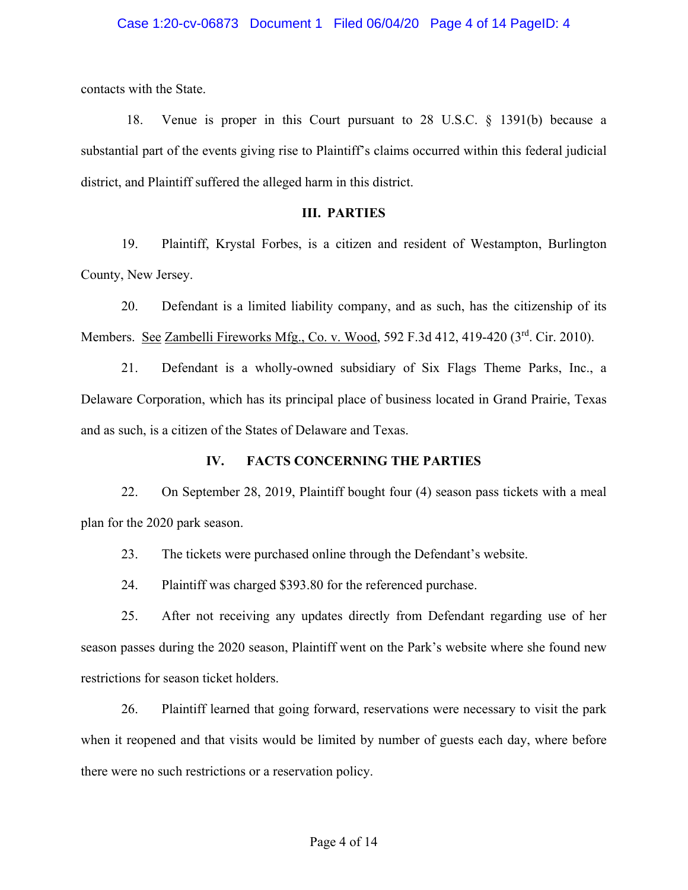#### Case 1:20-cv-06873 Document 1 Filed 06/04/20 Page 4 of 14 PageID: 4

contacts with the State.

18. Venue is proper in this Court pursuant to 28 U.S.C. § 1391(b) because a substantial part of the events giving rise to Plaintiff's claims occurred within this federal judicial district, and Plaintiff suffered the alleged harm in this district.

## **III. PARTIES**

19. Plaintiff, Krystal Forbes, is a citizen and resident of Westampton, Burlington County, New Jersey.

20. Defendant is a limited liability company, and as such, has the citizenship of its Members. See Zambelli Fireworks Mfg., Co. v. Wood, 592 F.3d 412, 419-420 (3rd. Cir. 2010).

21. Defendant is a wholly-owned subsidiary of Six Flags Theme Parks, Inc., a Delaware Corporation, which has its principal place of business located in Grand Prairie, Texas and as such, is a citizen of the States of Delaware and Texas.

#### **IV. FACTS CONCERNING THE PARTIES**

22. On September 28, 2019, Plaintiff bought four (4) season pass tickets with a meal plan for the 2020 park season.

23. The tickets were purchased online through the Defendant's website.

24. Plaintiff was charged \$393.80 for the referenced purchase.

25. After not receiving any updates directly from Defendant regarding use of her season passes during the 2020 season, Plaintiff went on the Park's website where she found new restrictions for season ticket holders.

26. Plaintiff learned that going forward, reservations were necessary to visit the park when it reopened and that visits would be limited by number of guests each day, where before there were no such restrictions or a reservation policy.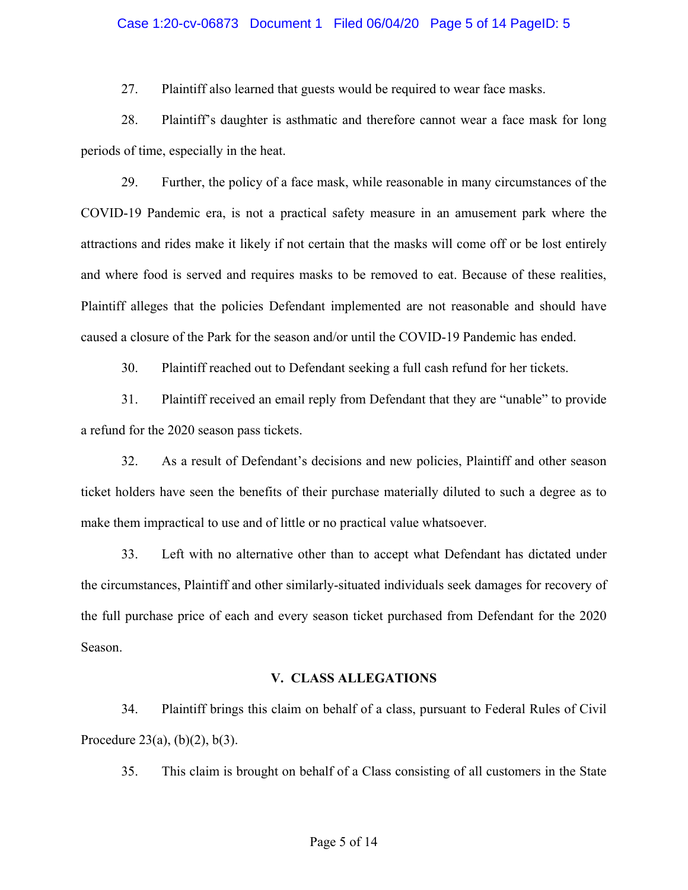#### Case 1:20-cv-06873 Document 1 Filed 06/04/20 Page 5 of 14 PageID: 5

27. Plaintiff also learned that guests would be required to wear face masks.

28. Plaintiff's daughter is asthmatic and therefore cannot wear a face mask for long periods of time, especially in the heat.

29. Further, the policy of a face mask, while reasonable in many circumstances of the COVID-19 Pandemic era, is not a practical safety measure in an amusement park where the attractions and rides make it likely if not certain that the masks will come off or be lost entirely and where food is served and requires masks to be removed to eat. Because of these realities, Plaintiff alleges that the policies Defendant implemented are not reasonable and should have caused a closure of the Park for the season and/or until the COVID-19 Pandemic has ended.

30. Plaintiff reached out to Defendant seeking a full cash refund for her tickets.

31. Plaintiff received an email reply from Defendant that they are "unable" to provide a refund for the 2020 season pass tickets.

32. As a result of Defendant's decisions and new policies, Plaintiff and other season ticket holders have seen the benefits of their purchase materially diluted to such a degree as to make them impractical to use and of little or no practical value whatsoever.

33. Left with no alternative other than to accept what Defendant has dictated under the circumstances, Plaintiff and other similarly-situated individuals seek damages for recovery of the full purchase price of each and every season ticket purchased from Defendant for the 2020 Season.

#### **V. CLASS ALLEGATIONS**

34. Plaintiff brings this claim on behalf of a class, pursuant to Federal Rules of Civil Procedure 23(a),  $(b)(2)$ ,  $b(3)$ .

35. This claim is brought on behalf of a Class consisting of all customers in the State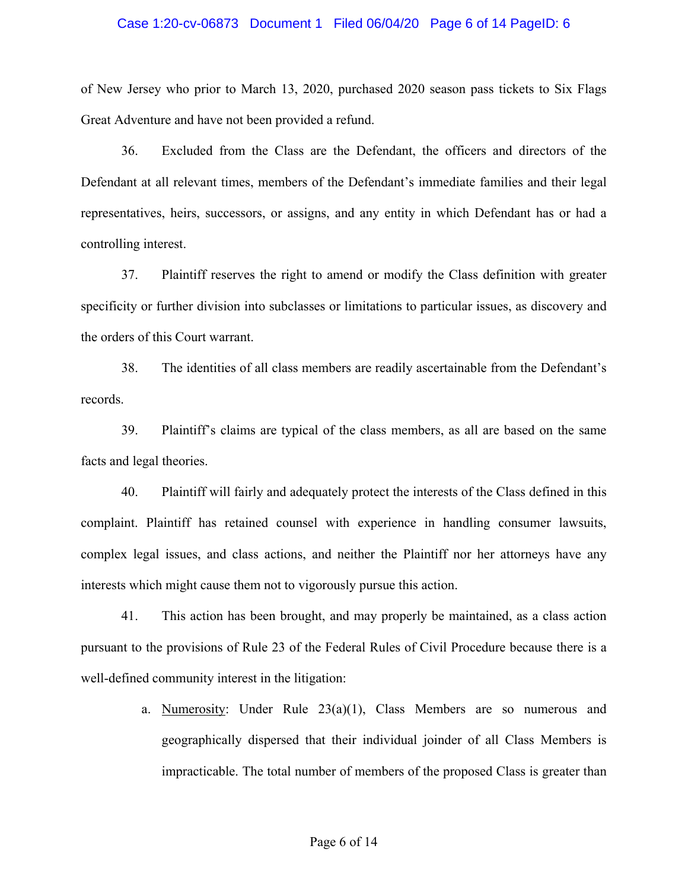#### Case 1:20-cv-06873 Document 1 Filed 06/04/20 Page 6 of 14 PageID: 6

of New Jersey who prior to March 13, 2020, purchased 2020 season pass tickets to Six Flags Great Adventure and have not been provided a refund.

36. Excluded from the Class are the Defendant, the officers and directors of the Defendant at all relevant times, members of the Defendant's immediate families and their legal representatives, heirs, successors, or assigns, and any entity in which Defendant has or had a controlling interest.

37. Plaintiff reserves the right to amend or modify the Class definition with greater specificity or further division into subclasses or limitations to particular issues, as discovery and the orders of this Court warrant.

38. The identities of all class members are readily ascertainable from the Defendant's records.

39. Plaintiff's claims are typical of the class members, as all are based on the same facts and legal theories.

40. Plaintiff will fairly and adequately protect the interests of the Class defined in this complaint. Plaintiff has retained counsel with experience in handling consumer lawsuits, complex legal issues, and class actions, and neither the Plaintiff nor her attorneys have any interests which might cause them not to vigorously pursue this action.

41. This action has been brought, and may properly be maintained, as a class action pursuant to the provisions of Rule 23 of the Federal Rules of Civil Procedure because there is a well-defined community interest in the litigation:

> a. Numerosity: Under Rule  $23(a)(1)$ , Class Members are so numerous and geographically dispersed that their individual joinder of all Class Members is impracticable. The total number of members of the proposed Class is greater than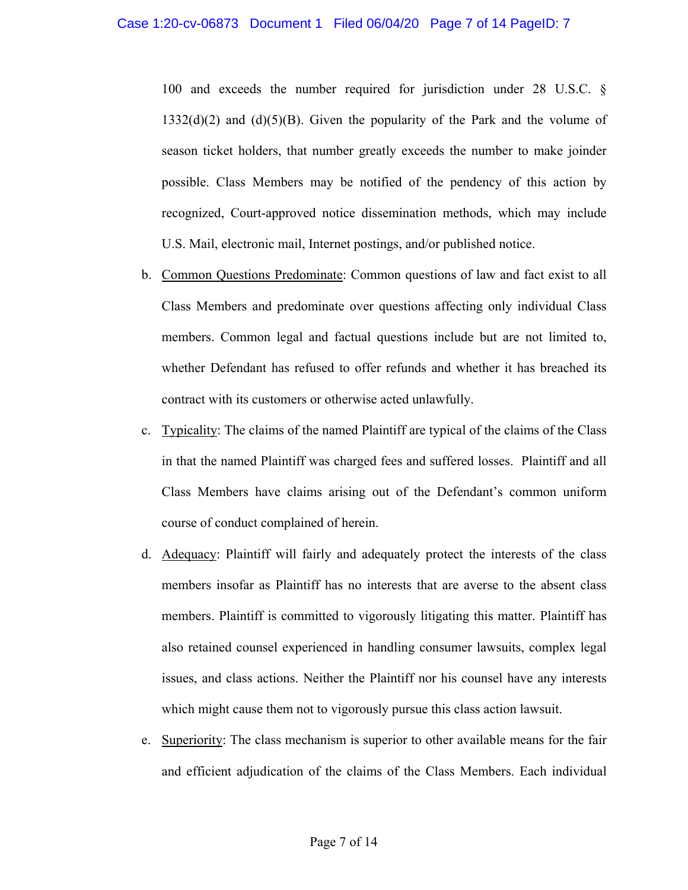100 and exceeds the number required for jurisdiction under 28 U.S.C. §  $1332(d)(2)$  and  $(d)(5)(B)$ . Given the popularity of the Park and the volume of season ticket holders, that number greatly exceeds the number to make joinder possible. Class Members may be notified of the pendency of this action by recognized, Court-approved notice dissemination methods, which may include U.S. Mail, electronic mail, Internet postings, and/or published notice.

- b. Common Questions Predominate: Common questions of law and fact exist to all Class Members and predominate over questions affecting only individual Class members. Common legal and factual questions include but are not limited to, whether Defendant has refused to offer refunds and whether it has breached its contract with its customers or otherwise acted unlawfully.
- c. Typicality: The claims of the named Plaintiff are typical of the claims of the Class in that the named Plaintiff was charged fees and suffered losses. Plaintiff and all Class Members have claims arising out of the Defendant's common uniform course of conduct complained of herein.
- d. Adequacy: Plaintiff will fairly and adequately protect the interests of the class members insofar as Plaintiff has no interests that are averse to the absent class members. Plaintiff is committed to vigorously litigating this matter. Plaintiff has also retained counsel experienced in handling consumer lawsuits, complex legal issues, and class actions. Neither the Plaintiff nor his counsel have any interests which might cause them not to vigorously pursue this class action lawsuit.
- e. Superiority: The class mechanism is superior to other available means for the fair and efficient adjudication of the claims of the Class Members. Each individual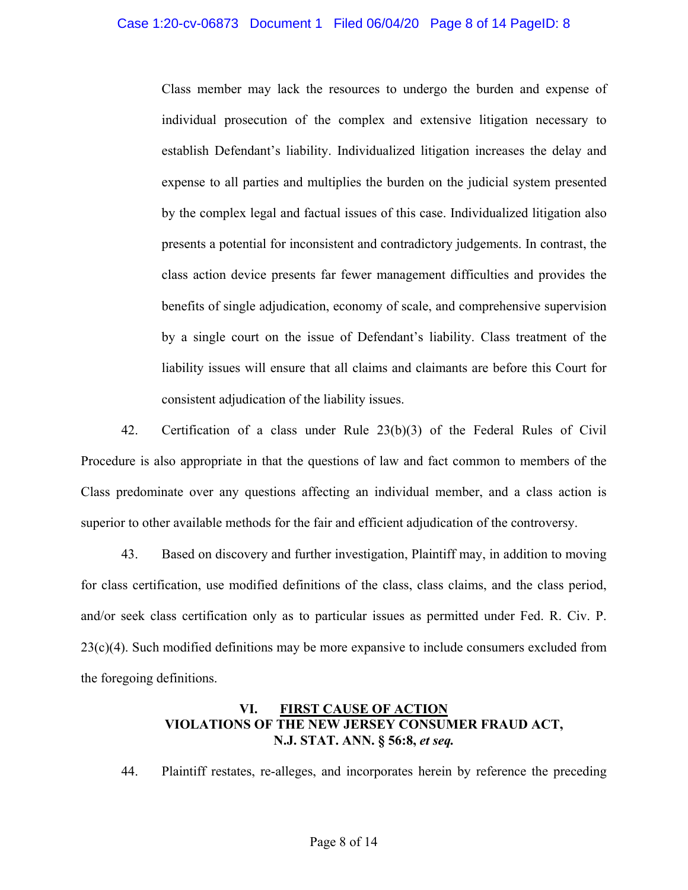## Case 1:20-cv-06873 Document 1 Filed 06/04/20 Page 8 of 14 PageID: 8

Class member may lack the resources to undergo the burden and expense of individual prosecution of the complex and extensive litigation necessary to establish Defendant's liability. Individualized litigation increases the delay and expense to all parties and multiplies the burden on the judicial system presented by the complex legal and factual issues of this case. Individualized litigation also presents a potential for inconsistent and contradictory judgements. In contrast, the class action device presents far fewer management difficulties and provides the benefits of single adjudication, economy of scale, and comprehensive supervision by a single court on the issue of Defendant's liability. Class treatment of the liability issues will ensure that all claims and claimants are before this Court for consistent adjudication of the liability issues.

42. Certification of a class under Rule 23(b)(3) of the Federal Rules of Civil Procedure is also appropriate in that the questions of law and fact common to members of the Class predominate over any questions affecting an individual member, and a class action is superior to other available methods for the fair and efficient adjudication of the controversy.

43. Based on discovery and further investigation, Plaintiff may, in addition to moving for class certification, use modified definitions of the class, class claims, and the class period, and/or seek class certification only as to particular issues as permitted under Fed. R. Civ. P.  $23(c)(4)$ . Such modified definitions may be more expansive to include consumers excluded from the foregoing definitions.

## **VI. FIRST CAUSE OF ACTION VIOLATIONS OF THE NEW JERSEY CONSUMER FRAUD ACT, N.J. STAT. ANN. § 56:8,** *et seq.*

44. Plaintiff restates, re-alleges, and incorporates herein by reference the preceding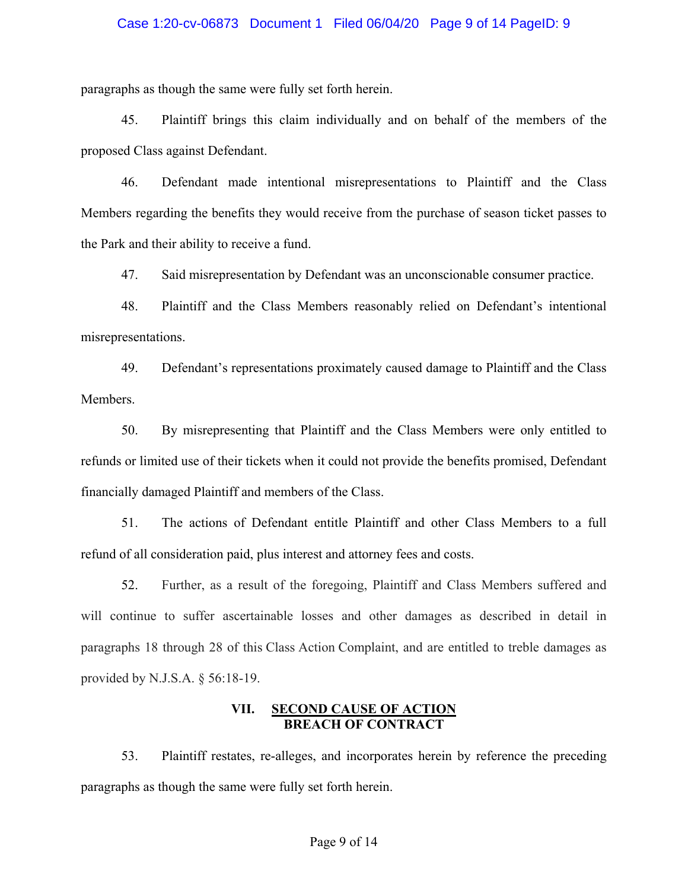#### Case 1:20-cv-06873 Document 1 Filed 06/04/20 Page 9 of 14 PageID: 9

paragraphs as though the same were fully set forth herein.

45. Plaintiff brings this claim individually and on behalf of the members of the proposed Class against Defendant.

46. Defendant made intentional misrepresentations to Plaintiff and the Class Members regarding the benefits they would receive from the purchase of season ticket passes to the Park and their ability to receive a fund.

47. Said misrepresentation by Defendant was an unconscionable consumer practice.

48. Plaintiff and the Class Members reasonably relied on Defendant's intentional misrepresentations.

49. Defendant's representations proximately caused damage to Plaintiff and the Class Members.

50. By misrepresenting that Plaintiff and the Class Members were only entitled to refunds or limited use of their tickets when it could not provide the benefits promised, Defendant financially damaged Plaintiff and members of the Class.

51. The actions of Defendant entitle Plaintiff and other Class Members to a full refund of all consideration paid, plus interest and attorney fees and costs.

52. Further, as a result of the foregoing, Plaintiff and Class Members suffered and will continue to suffer ascertainable losses and other damages as described in detail in paragraphs 18 through 28 of this Class Action Complaint, and are entitled to treble damages as provided by N.J.S.A. § 56:18-19.

#### **VII. SECOND CAUSE OF ACTION BREACH OF CONTRACT**

53. Plaintiff restates, re-alleges, and incorporates herein by reference the preceding paragraphs as though the same were fully set forth herein.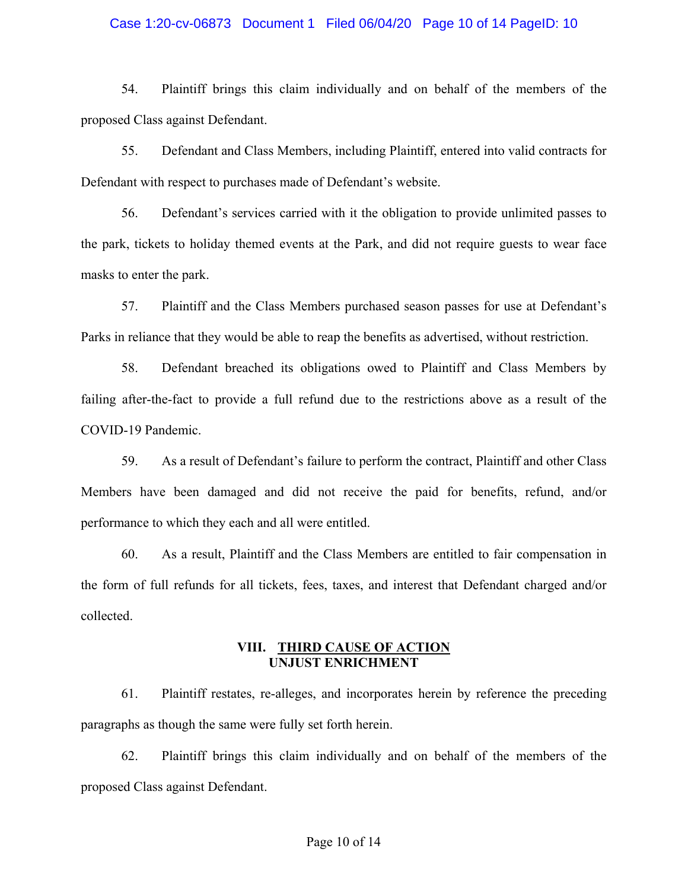#### Case 1:20-cv-06873 Document 1 Filed 06/04/20 Page 10 of 14 PageID: 10

54. Plaintiff brings this claim individually and on behalf of the members of the proposed Class against Defendant.

55. Defendant and Class Members, including Plaintiff, entered into valid contracts for Defendant with respect to purchases made of Defendant's website.

56. Defendant's services carried with it the obligation to provide unlimited passes to the park, tickets to holiday themed events at the Park, and did not require guests to wear face masks to enter the park.

57. Plaintiff and the Class Members purchased season passes for use at Defendant's Parks in reliance that they would be able to reap the benefits as advertised, without restriction.

58. Defendant breached its obligations owed to Plaintiff and Class Members by failing after-the-fact to provide a full refund due to the restrictions above as a result of the COVID-19 Pandemic.

59. As a result of Defendant's failure to perform the contract, Plaintiff and other Class Members have been damaged and did not receive the paid for benefits, refund, and/or performance to which they each and all were entitled.

60. As a result, Plaintiff and the Class Members are entitled to fair compensation in the form of full refunds for all tickets, fees, taxes, and interest that Defendant charged and/or collected.

## **VIII. THIRD CAUSE OF ACTION UNJUST ENRICHMENT**

61. Plaintiff restates, re-alleges, and incorporates herein by reference the preceding paragraphs as though the same were fully set forth herein.

62. Plaintiff brings this claim individually and on behalf of the members of the proposed Class against Defendant.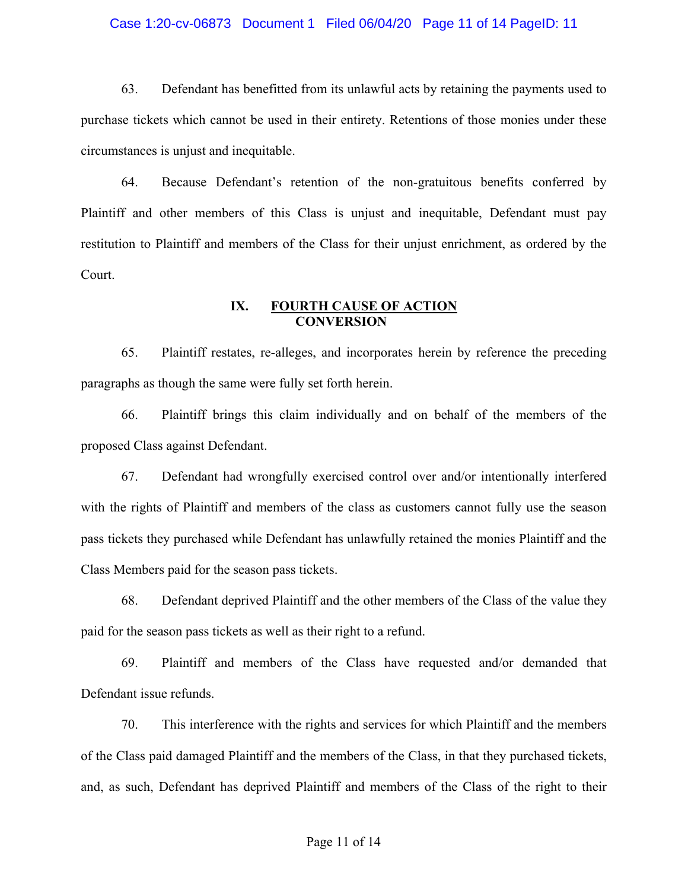#### Case 1:20-cv-06873 Document 1 Filed 06/04/20 Page 11 of 14 PageID: 11

63. Defendant has benefitted from its unlawful acts by retaining the payments used to purchase tickets which cannot be used in their entirety. Retentions of those monies under these circumstances is unjust and inequitable.

64. Because Defendant's retention of the non-gratuitous benefits conferred by Plaintiff and other members of this Class is unjust and inequitable, Defendant must pay restitution to Plaintiff and members of the Class for their unjust enrichment, as ordered by the Court.

## **IX. FOURTH CAUSE OF ACTION CONVERSION**

65. Plaintiff restates, re-alleges, and incorporates herein by reference the preceding paragraphs as though the same were fully set forth herein.

66. Plaintiff brings this claim individually and on behalf of the members of the proposed Class against Defendant.

67. Defendant had wrongfully exercised control over and/or intentionally interfered with the rights of Plaintiff and members of the class as customers cannot fully use the season pass tickets they purchased while Defendant has unlawfully retained the monies Plaintiff and the Class Members paid for the season pass tickets.

68. Defendant deprived Plaintiff and the other members of the Class of the value they paid for the season pass tickets as well as their right to a refund.

69. Plaintiff and members of the Class have requested and/or demanded that Defendant issue refunds.

70. This interference with the rights and services for which Plaintiff and the members of the Class paid damaged Plaintiff and the members of the Class, in that they purchased tickets, and, as such, Defendant has deprived Plaintiff and members of the Class of the right to their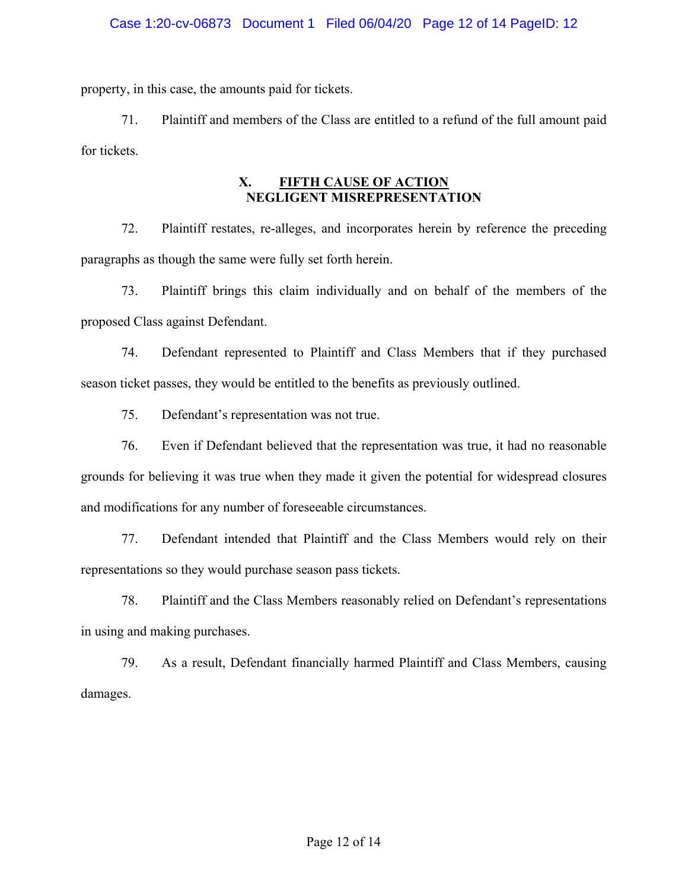## Case 1:20-cv-06873 Document 1 Filed 06/04/20 Page 12 of 14 PageID: 12

property, in this case, the amounts paid for tickets.

71. Plaintiff and members of the Class are entitled to a refund of the full amount paid for tickets.

## **X. FIFTH CAUSE OF ACTION NEGLIGENT MISREPRESENTATION**

72. Plaintiff restates, re-alleges, and incorporates herein by reference the preceding paragraphs as though the same were fully set forth herein.

73. Plaintiff brings this claim individually and on behalf of the members of the proposed Class against Defendant.

74. Defendant represented to Plaintiff and Class Members that if they purchased season ticket passes, they would be entitled to the benefits as previously outlined.

75. Defendant's representation was not true.

76. Even if Defendant believed that the representation was true, it had no reasonable grounds for believing it was true when they made it given the potential for widespread closures and modifications for any number of foreseeable circumstances.

77. Defendant intended that Plaintiff and the Class Members would rely on their representations so they would purchase season pass tickets.

78. Plaintiff and the Class Members reasonably relied on Defendant's representations in using and making purchases.

79. As a result, Defendant financially harmed Plaintiff and Class Members, causing damages.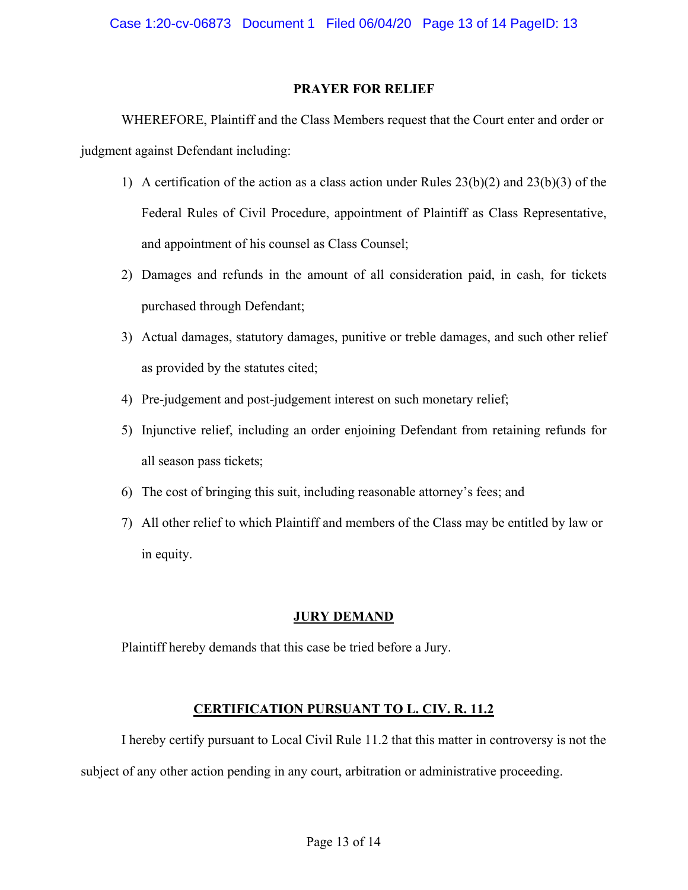Case 1:20-cv-06873 Document 1 Filed 06/04/20 Page 13 of 14 PageID: 13

## **PRAYER FOR RELIEF**

WHEREFORE, Plaintiff and the Class Members request that the Court enter and order or judgment against Defendant including:

- 1) A certification of the action as a class action under Rules 23(b)(2) and 23(b)(3) of the Federal Rules of Civil Procedure, appointment of Plaintiff as Class Representative, and appointment of his counsel as Class Counsel;
- 2) Damages and refunds in the amount of all consideration paid, in cash, for tickets purchased through Defendant;
- 3) Actual damages, statutory damages, punitive or treble damages, and such other relief as provided by the statutes cited;
- 4) Pre-judgement and post-judgement interest on such monetary relief;
- 5) Injunctive relief, including an order enjoining Defendant from retaining refunds for all season pass tickets;
- 6) The cost of bringing this suit, including reasonable attorney's fees; and
- 7) All other relief to which Plaintiff and members of the Class may be entitled by law or in equity.

# **JURY DEMAND**

Plaintiff hereby demands that this case be tried before a Jury.

# **CERTIFICATION PURSUANT TO L. CIV. R. 11.2**

I hereby certify pursuant to Local Civil Rule 11.2 that this matter in controversy is not the subject of any other action pending in any court, arbitration or administrative proceeding.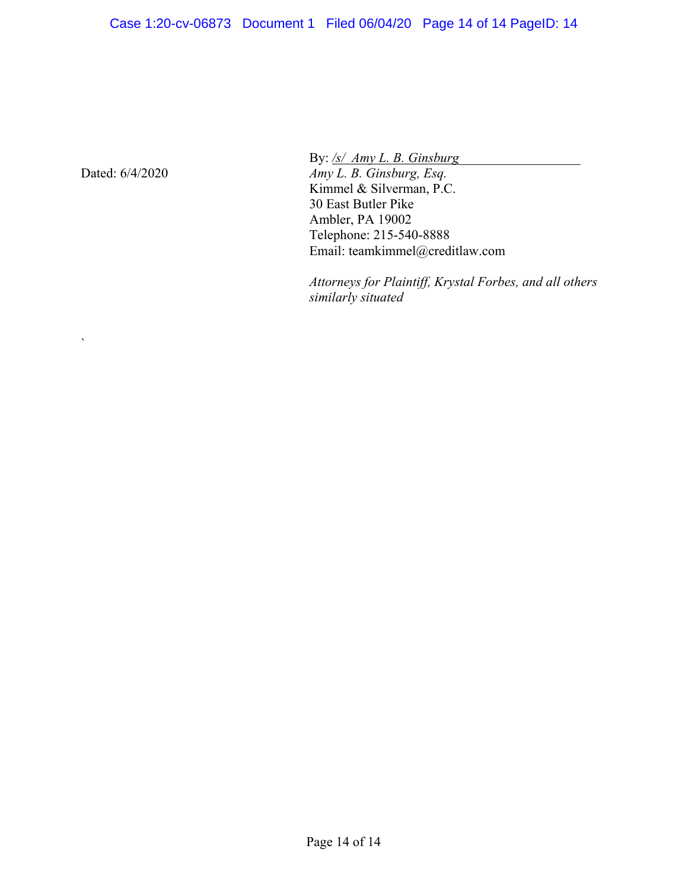Dated: 6/4/2020

 $\overline{\phantom{a}}$ 

By: <u>/s/ Amy L. B. Ginsburg</u>

*Amy L. B. Ginsburg, Esq.*  Kimmel & Silverman, P.C. 30 East Butler Pike Ambler, PA 19002 Telephone: 215-540-8888 Email: teamkimmel@creditlaw.com

*Attorneys for Plaintiff, Krystal Forbes, and all others similarly situated*